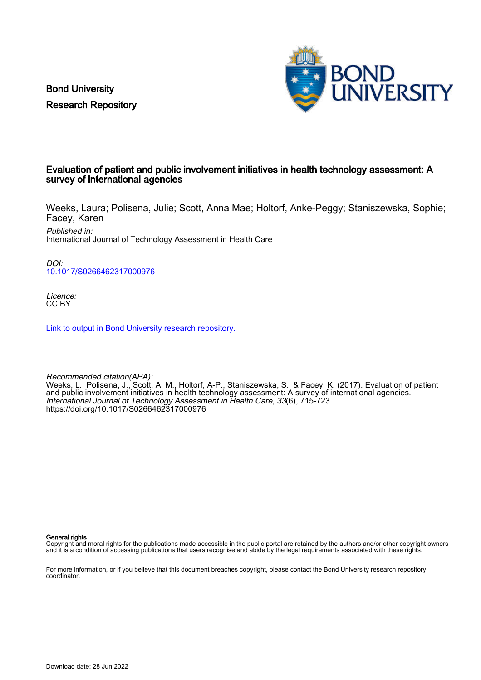Bond University Research Repository



# Evaluation of patient and public involvement initiatives in health technology assessment: A survey of international agencies

Weeks, Laura; Polisena, Julie; Scott, Anna Mae; Holtorf, Anke-Peggy; Staniszewska, Sophie; Facey, Karen

Published in: International Journal of Technology Assessment in Health Care

DOI: [10.1017/S0266462317000976](https://doi.org/10.1017/S0266462317000976)

Licence: CC BY

[Link to output in Bond University research repository.](https://research.bond.edu.au/en/publications/4995b1a9-1aa6-48e3-a12a-139cf4404ee9)

Recommended citation(APA): Weeks, L., Polisena, J., Scott, A. M., Holtorf, A-P., Staniszewska, S., & Facey, K. (2017). Evaluation of patient and public involvement initiatives in health technology assessment: A survey of international agencies. International Journal of Technology Assessment in Health Care, 33(6), 715-723. <https://doi.org/10.1017/S0266462317000976>

General rights

Copyright and moral rights for the publications made accessible in the public portal are retained by the authors and/or other copyright owners and it is a condition of accessing publications that users recognise and abide by the legal requirements associated with these rights.

For more information, or if you believe that this document breaches copyright, please contact the Bond University research repository coordinator.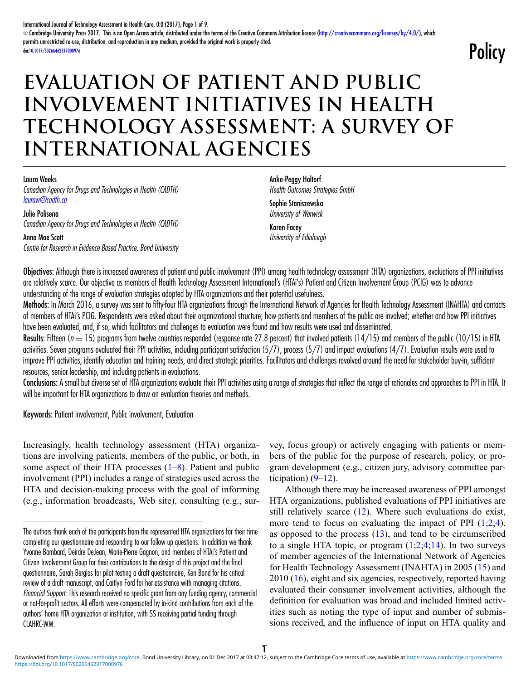# **EVALUATION OF PATIENT AND PUBLIC INVOLVEMENT INITIATIVES IN HEALTH TECHNOLOGY ASSESSMENT: A SURVEY OF INTERNATIONAL AGENCIES**

#### Laura Weeks

*Canadian Agency for Drugs and Technologies in Health (CADTH) [lauraw@cadth.ca](mailto:lauraw@cadth.ca)*

Julie Polisena *Canadian Agency for Drugs and Technologies in Health (CADTH)*

Anna Mae Scott *Centre for Research in Evidence Based Practice, Bond University* Anke-Peggy Holtorf *Health Outcomes Strategies GmbH*

Sophie Staniszewska *University of Warwick*

Karen Facey *University of Edinburgh*

Objectives: Although there is increased awareness of patient and public involvement (PPI) among health technology assessment (HTA) organizations, evaluations of PPI initiatives are relatively scarce. Our objective as members of Health Technology Assessment International's (HTAi's) Patient and Citizen Involvement Group (PCIG) was to advance understanding of the range of evaluation strategies adopted by HTA organizations and their potential usefulness.

Methods: In March 2016, a survey was sent to fifty-four HTA organizations through the International Network of Agencies for Health Technology Assessment (INAHTA) and contacts of members of HTAi's PCIG. Respondents were asked about their organizational structure; how patients and members of the public are involved; whether and how PPI initiatives have been evaluated, and, if so, which facilitators and challenges to evaluation were found and how results were used and disseminated.

Results: Fifteen ( $n = 15$ ) programs from twelve countries responded (response rate 27.8 percent) that involved patients (14/15) and members of the public (10/15) in HTA activities. Seven programs evaluated their PPI activities, including participant satisfaction (5/7), process (5/7) and impact evaluations (4/7). Evaluation results were used to improve PPI activities, identify education and training needs, and direct strategic priorities. Facilitators and challenges revolved around the need for stakeholder buy-in, sufficient resources, senior leadership, and including patients in evaluations.

Conclusions: A small but diverse set of HTA organizations evaluate their PPI activities using a range of strategies that reflect the range of rationales and approaches to PPI in HTA. It will be important for HTA organizations to draw on evaluation theories and methods.

Keywords: Patient involvement, Public involvement, Evaluation

Increasingly, health technology assessment (HTA) organizations are involving patients, members of the public, or both, in some aspect of their HTA processes  $(1-8)$ . Patient and public involvement (PPI) includes a range of strategies used across the HTA and decision-making process with the goal of informing (e.g., information broadcasts, Web site), consulting (e.g., sur-

vey, focus group) or actively engaging with patients or members of the public for the purpose of research, policy, or program development (e.g., citizen jury, advisory committee participation)  $(9-12)$ .

Although there may be increased awareness of PPI amongst HTA organizations, published evaluations of PPI initiatives are still relatively scarce [\(12\)](#page-9-0). Where such evaluations do exist, more tend to focus on evaluating the impact of PPI  $(1,2;4)$ , as opposed to the process  $(13)$ , and tend to be circumscribed to a single HTA topic, or program  $(1,2,4,14)$ . In two surveys of member agencies of the International Network of Agencies for Health Technology Assessment (INAHTA) in 2005 [\(15\)](#page-9-0) and 2010 [\(16\)](#page-9-0), eight and six agencies, respectively, reported having evaluated their consumer involvement activities, although the definition for evaluation was broad and included limited activities such as noting the type of input and number of submissions received, and the influence of input on HTA quality and

The authors thank each of the participants from the represented HTA organizations for their time completing our questionnaire and responding to our follow up questions. In addition we thank Yvonne Bombard, Deirdre DeJean, Marie-Pierre Gagnon, and members of HTAi's Patient and Citizen Involvement Group for their contributions to the design of this project and the final questionnaire, Sarah Berglas for pilot testing a draft questionnaire, Ken Bond for his critical review of a draft manuscript, and Caitlyn Ford for her assistance with managing citations. *Financial Support*: This research received no specific grant from any funding agency, commercial or not-for-profit sectors. All efforts were compensated by in-kind contributions from each of the authors' home HTA organization or institution, with SS receiving partial funding through CLAHRC-WM.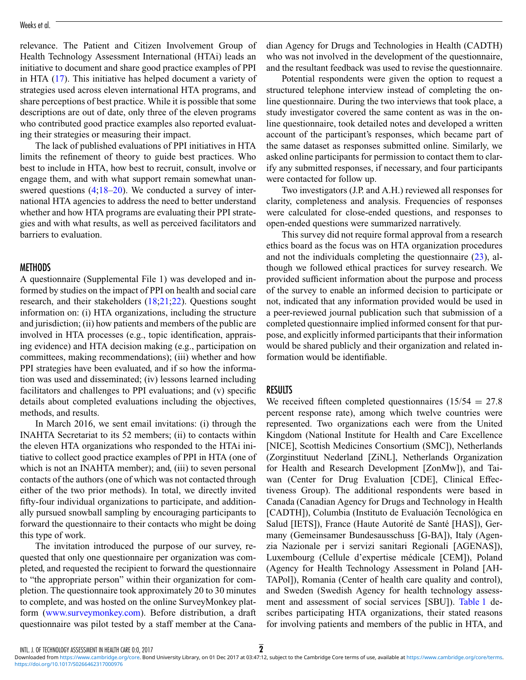relevance. The Patient and Citizen Involvement Group of Health Technology Assessment International (HTAi) leads an initiative to document and share good practice examples of PPI in HTA [\(17\)](#page-9-0). This initiative has helped document a variety of strategies used across eleven international HTA programs, and share perceptions of best practice. While it is possible that some descriptions are out of date, only three of the eleven programs who contributed good practice examples also reported evaluating their strategies or measuring their impact.

The lack of published evaluations of PPI initiatives in HTA limits the refinement of theory to guide best practices. Who best to include in HTA, how best to recruit, consult, involve or engage them, and with what support remain somewhat unanswered questions  $(4,18-20)$ . We conducted a survey of international HTA agencies to address the need to better understand whether and how HTA programs are evaluating their PPI strategies and with what results, as well as perceived facilitators and barriers to evaluation.

#### METHODS

A questionnaire (Supplemental File 1) was developed and informed by studies on the impact of PPI on health and social care research, and their stakeholders [\(18;21;22\)](#page-9-0). Questions sought information on: (i) HTA organizations, including the structure and jurisdiction; (ii) how patients and members of the public are involved in HTA processes (e.g., topic identification, appraising evidence) and HTA decision making (e.g., participation on committees, making recommendations); (iii) whether and how PPI strategies have been evaluated, and if so how the information was used and disseminated; (iv) lessons learned including facilitators and challenges to PPI evaluations; and (v) specific details about completed evaluations including the objectives, methods, and results.

In March 2016, we sent email invitations: (i) through the INAHTA Secretariat to its 52 members; (ii) to contacts within the eleven HTA organizations who responded to the HTAi initiative to collect good practice examples of PPI in HTA (one of which is not an INAHTA member); and, (iii) to seven personal contacts of the authors (one of which was not contacted through either of the two prior methods). In total, we directly invited fifty-four individual organizations to participate, and additionally pursued snowball sampling by encouraging participants to forward the questionnaire to their contacts who might be doing this type of work.

The invitation introduced the purpose of our survey, requested that only one questionnaire per organization was completed, and requested the recipient to forward the questionnaire to "the appropriate person" within their organization for completion. The questionnaire took approximately 20 to 30 minutes to complete, and was hosted on the online SurveyMonkey platform [\(www.surveymonkey.com\)](http://www.surveymonkey.com). Before distribution, a draft questionnaire was pilot tested by a staff member at the Canadian Agency for Drugs and Technologies in Health (CADTH) who was not involved in the development of the questionnaire, and the resultant feedback was used to revise the questionnaire.

Potential respondents were given the option to request a structured telephone interview instead of completing the online questionnaire. During the two interviews that took place, a study investigator covered the same content as was in the online questionnaire, took detailed notes and developed a written account of the participant's responses, which became part of the same dataset as responses submitted online. Similarly, we asked online participants for permission to contact them to clarify any submitted responses, if necessary, and four participants were contacted for follow up.

Two investigators (J.P. and A.H.) reviewed all responses for clarity, completeness and analysis. Frequencies of responses were calculated for close-ended questions, and responses to open-ended questions were summarized narratively.

This survey did not require formal approval from a research ethics board as the focus was on HTA organization procedures and not the individuals completing the questionnaire  $(23)$ , although we followed ethical practices for survey research. We provided sufficient information about the purpose and process of the survey to enable an informed decision to participate or not, indicated that any information provided would be used in a peer-reviewed journal publication such that submission of a completed questionnaire implied informed consent for that purpose, and explicitly informed participants that their information would be shared publicly and their organization and related information would be identifiable.

#### RESULTS

We received fifteen completed questionnaires  $(15/54 = 27.8)$ percent response rate), among which twelve countries were represented. Two organizations each were from the United Kingdom (National Institute for Health and Care Excellence [NICE], Scottish Medicines Consortium (SMC]), Netherlands (Zorginstituut Nederland [ZiNL], Netherlands Organization for Health and Research Development [ZonMw]), and Taiwan (Center for Drug Evaluation [CDE], Clinical Effectiveness Group). The additional respondents were based in Canada (Canadian Agency for Drugs and Technology in Health [CADTH]), Columbia (Instituto de Evaluación Tecnológica en Salud [IETS]), France (Haute Autorité de Santé [HAS]), Germany (Gemeinsamer Bundesausschuss [G-BA]), Italy (Agenzia Nazionale per i servizi sanitari Regionali [AGENAS]), Luxembourg (Cellule d'expertise médicale [CEM]), Poland (Agency for Health Technology Assessment in Poland [AH-TAPol]), Romania (Center of health care quality and control), and Sweden (Swedish Agency for health technology assessment and assessment of social services [SBU]). [Table 1](#page-3-0) describes participating HTA organizations, their stated reasons for involving patients and members of the public in HTA, and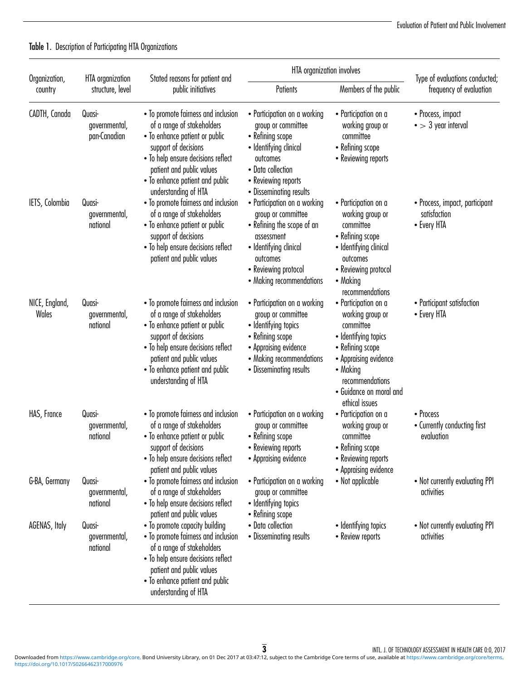# <span id="page-3-0"></span>Table 1. Description of Participating HTA Organizations

| Organization,<br>country | HTA organization<br>structure, level    | Stated reasons for patient and<br>public initiatives                                                                                                                                                                                                      | HTA organization involves                                                                                                                                                                |                                                                                                                                                                                                        | Type of evaluations conducted;                                |
|--------------------------|-----------------------------------------|-----------------------------------------------------------------------------------------------------------------------------------------------------------------------------------------------------------------------------------------------------------|------------------------------------------------------------------------------------------------------------------------------------------------------------------------------------------|--------------------------------------------------------------------------------------------------------------------------------------------------------------------------------------------------------|---------------------------------------------------------------|
|                          |                                         |                                                                                                                                                                                                                                                           | Patients                                                                                                                                                                                 | Members of the public                                                                                                                                                                                  | frequency of evaluation                                       |
| CADTH, Canada            | Quasi-<br>governmental,<br>pan-Canadian | • To promote fairness and inclusion<br>of a range of stakeholders<br>• To enhance patient or public<br>support of decisions<br>• To help ensure decisions reflect<br>patient and public values<br>• To enhance patient and public<br>understanding of HTA | • Participation on a working<br>group or committee<br>• Refining scope<br>• Identifying clinical<br>outcomes<br>• Data collection<br>• Reviewing reports<br>• Disseminating results      | • Participation on a<br>working group or<br>committee<br>• Refining scope<br>• Reviewing reports                                                                                                       | • Process, impact<br>$\bullet$ > 3 year interval              |
| <b>IETS, Colombia</b>    | Quasi-<br>governmental,<br>national     | • To promote fairness and inclusion<br>of a range of stakeholders<br>• To enhance patient or public<br>support of decisions<br>• To help ensure decisions reflect<br>patient and public values                                                            | • Participation on a working<br>group or committee<br>• Refining the scope of an<br>assessment<br>· Identifying clinical<br>outcomes<br>• Reviewing protocol<br>• Making recommendations | • Participation on a<br>working group or<br>committee<br>• Refining scope<br>• Identifying clinical<br>outcomes<br>• Reviewing protocol<br>• Making<br>recommendations                                 | • Process, impact, participant<br>satisfaction<br>• Every HTA |
| NICE, England,<br>Wales  | Quasi-<br>governmental,<br>national     | • To promote fairness and inclusion<br>of a range of stakeholders<br>• To enhance patient or public<br>support of decisions<br>• To help ensure decisions reflect<br>patient and public values<br>• To enhance patient and public<br>understanding of HTA | • Participation on a working<br>group or committee<br>• Identifying topics<br>• Refining scope<br>• Appraising evidence<br>• Making recommendations<br>• Disseminating results           | • Participation on a<br>working group or<br>committee<br>• Identifying topics<br>• Refining scope<br>• Appraising evidence<br>• Making<br>recommendations<br>· Guidance on moral and<br>ethical issues | • Participant satisfaction<br>• Every HTA                     |
| HAS, France              | Quasi-<br>governmental,<br>national     | • To promote fairness and inclusion<br>of a range of stakeholders<br>• To enhance patient or public<br>support of decisions<br>• To help ensure decisions reflect<br>patient and public values                                                            | • Participation on a working<br>group or committee<br>• Refining scope<br>• Reviewing reports<br>• Appraising evidence                                                                   | • Participation on a<br>working group or<br>committee<br>• Refining scope<br>• Reviewing reports<br>• Appraising evidence                                                                              | • Process<br>• Currently conducting first<br>evaluation       |
| G-BA, Germany            | Quasi-<br>governmental,<br>national     | • To promote fairness and inclusion<br>of a range of stakeholders<br>• To help ensure decisions reflect<br>patient and public values                                                                                                                      | • Participation on a working<br>group or committee<br>• Identifying topics<br>• Refining scope                                                                                           | • Not applicable                                                                                                                                                                                       | • Not currently evaluating PPI<br>activities                  |
| AGENAS, Italy            | Quasi-<br>governmental,<br>national     | • To promote capacity building<br>• To promote fairness and inclusion<br>of a range of stakeholders<br>• To help ensure decisions reflect<br>patient and public values<br>• To enhance patient and public<br>understanding of HTA                         | • Data collection<br>• Disseminating results                                                                                                                                             | • Identifying topics<br>• Review reports                                                                                                                                                               | • Not currently evaluating PPI<br>activities                  |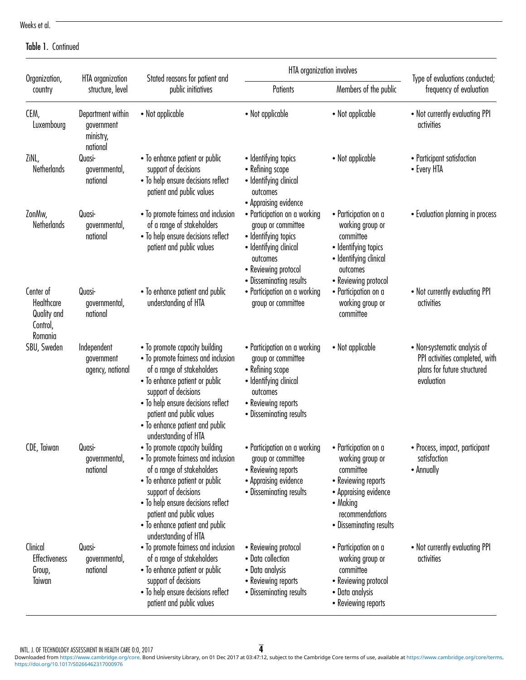# Table 1. Continued

| Organization,<br>country                                      | HTA organization<br>structure, level                     | Stated reasons for patient and<br>public initiatives                                                                                                                                                                                                                                        | HTA organization involves                                                                                                                                           |                                                                                                                                                                 |                                                                                                             |
|---------------------------------------------------------------|----------------------------------------------------------|---------------------------------------------------------------------------------------------------------------------------------------------------------------------------------------------------------------------------------------------------------------------------------------------|---------------------------------------------------------------------------------------------------------------------------------------------------------------------|-----------------------------------------------------------------------------------------------------------------------------------------------------------------|-------------------------------------------------------------------------------------------------------------|
|                                                               |                                                          |                                                                                                                                                                                                                                                                                             | <b>Patients</b>                                                                                                                                                     | Members of the public                                                                                                                                           | Type of evaluations conducted;<br>frequency of evaluation                                                   |
| CEM,<br>Luxembourg                                            | Department within<br>government<br>ministry,<br>national | • Not applicable                                                                                                                                                                                                                                                                            | • Not applicable                                                                                                                                                    | • Not applicable                                                                                                                                                | • Not currently evaluating PPI<br>activities                                                                |
| ZiNL,<br><b>Netherlands</b>                                   | Quasi-<br>governmental,<br>national                      | • To enhance patient or public<br>support of decisions<br>• To help ensure decisions reflect<br>patient and public values                                                                                                                                                                   | • Identifying topics<br>• Refining scope<br>• Identifying clinical<br>outcomes<br>• Appraising evidence                                                             | • Not applicable                                                                                                                                                | • Participant satisfaction<br>• Every HTA                                                                   |
| ZonMw,<br><b>Netherlands</b>                                  | Quasi-<br>governmental,<br>national                      | • To promote fairness and inclusion<br>of a range of stakeholders<br>• To help ensure decisions reflect<br>patient and public values                                                                                                                                                        | • Participation on a working<br>group or committee<br>• Identifying topics<br>• Identifying clinical<br>outcomes<br>• Reviewing protocol<br>• Disseminating results | • Participation on a<br>working group or<br>committee<br>• Identifying topics<br>· Identifying clinical<br>outcomes<br>• Reviewing protocol                     | • Evaluation planning in process                                                                            |
| Center of<br>Healthcare<br>Quality and<br>Control,<br>Romania | Quasi-<br>governmental,<br>national                      | • To enhance patient and public<br>understanding of HTA                                                                                                                                                                                                                                     | • Participation on a working<br>group or committee                                                                                                                  | • Participation on a<br>working group or<br>committee                                                                                                           | • Not currently evaluating PPI<br>activities                                                                |
| SBU, Sweden                                                   | Independent<br>government<br>agency, national            | • To promote capacity building<br>• To promote fairness and inclusion<br>of a range of stakeholders<br>• To enhance patient or public<br>support of decisions<br>• To help ensure decisions reflect<br>patient and public values<br>• To enhance patient and public<br>understanding of HTA | • Participation on a working<br>group or committee<br>• Refining scope<br>• Identifying clinical<br>outcomes<br>• Reviewing reports<br>• Disseminating results      | • Not applicable                                                                                                                                                | • Non-systematic analysis of<br>PPI activities completed, with<br>plans for future structured<br>evaluation |
| CDE, Taiwan                                                   | Quasi-<br>governmental,<br>national                      | • To promote capacity building<br>• To promote fairness and inclusion<br>of a range of stakeholders<br>• To enhance patient or public<br>support of decisions<br>• To help ensure decisions reflect<br>patient and public values<br>• To enhance patient and public<br>understanding of HTA | • Participation on a working<br>group or committee<br>• Reviewing reports<br>• Appraising evidence<br>• Disseminating results                                       | • Participation on a<br>working group or<br>committee<br>• Reviewing reports<br>• Appraising evidence<br>• Making<br>recommendations<br>• Disseminating results | • Process, impact, participant<br>satisfaction<br>• Annually                                                |
| Clinical<br>Effectiveness<br>Group,<br>Taiwan                 | Quasi-<br>governmental,<br>national                      | • To promote fairness and inclusion<br>of a range of stakeholders<br>• To enhance patient or public<br>support of decisions<br>• To help ensure decisions reflect<br>patient and public values                                                                                              | • Reviewing protocol<br>• Data collection<br>• Data analysis<br>• Reviewing reports<br>• Disseminating results                                                      | • Participation on a<br>working group or<br>committee<br>• Reviewing protocol<br>• Data analysis<br>• Reviewing reports                                         | • Not currently evaluating PPI<br>activities                                                                |

Downloaded from [https://www.cambridge.org/core.](https://www.cambridge.org/core) Bond University Library, on 01 Dec 2017 at 03:47:12, subject to the Cambridge Core terms of use, available at [https://www.cambridge.org/core/terms.](https://www.cambridge.org/core/terms)<br>https://doi.org/10.1017/S0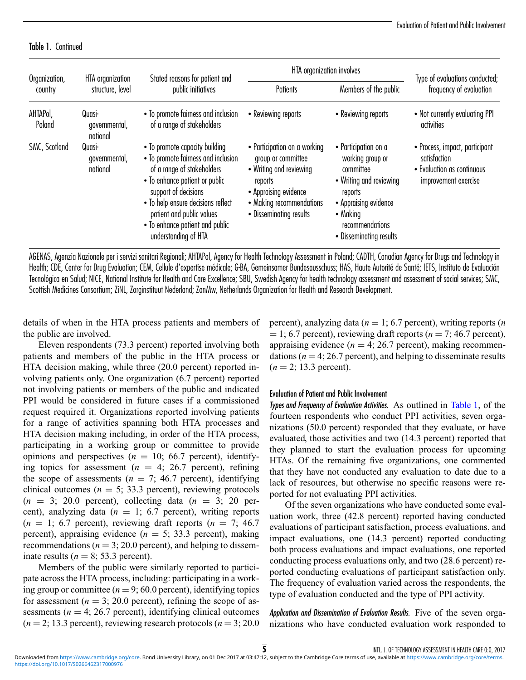#### Table 1. Continued

| Organization,<br>country | HTA organization<br>structure, level | Stated reasons for patient and<br>public initiatives                                                                                                                                                                                                                                        | HTA organization involves                                                                                                                                                |                                                                                                                                                                                | Type of evaluations conducted;                                                                       |
|--------------------------|--------------------------------------|---------------------------------------------------------------------------------------------------------------------------------------------------------------------------------------------------------------------------------------------------------------------------------------------|--------------------------------------------------------------------------------------------------------------------------------------------------------------------------|--------------------------------------------------------------------------------------------------------------------------------------------------------------------------------|------------------------------------------------------------------------------------------------------|
|                          |                                      |                                                                                                                                                                                                                                                                                             | Patients                                                                                                                                                                 | Members of the public                                                                                                                                                          | frequency of evaluation                                                                              |
| AHTAPol,<br>Poland       | Quasi-<br>governmental,<br>national  | • To promote fairness and inclusion<br>of a range of stakeholders                                                                                                                                                                                                                           | • Reviewing reports                                                                                                                                                      | • Reviewing reports                                                                                                                                                            | • Not currently evaluating PPI<br>activities                                                         |
| SMC, Scotland            | Quasi-<br>governmental,<br>national  | • To promote capacity building<br>• To promote fairness and inclusion<br>of a range of stakeholders<br>• To enhance patient or public<br>support of decisions<br>• To help ensure decisions reflect<br>patient and public values<br>• To enhance patient and public<br>understanding of HTA | • Participation on a working<br>group or committee<br>• Writing and reviewing<br>reports<br>• Appraising evidence<br>• Making recommendations<br>• Disseminating results | • Participation on a<br>working group or<br>committee<br>• Writing and reviewing<br>reports<br>• Appraising evidence<br>• Making<br>recommendations<br>• Disseminating results | • Process, impact, participant<br>satisfaction<br>• Evaluation as continuous<br>improvement exercise |

AGENAS, Agenzia Nazionale per i servizi sanitari Regionali; AHTAPol, Agency for Health Technology Assessment in Poland; CADTH, Canadian Agency for Drugs and Technology in Health; CDE, Center for Drug Evaluation; CEM, Cellule d'expertise médicale; G-BA, Gemeinsamer Bundesausschuss; HAS, Haute Autorité de Santé; IETS, Instituto de Evaluación Tecnológica en Salud; NICE, National Institute for Health and Care Excellence; SBU, Swedish Agency for health technology assessment and assessment of social services; SMC, Scottish Medicines Consortium; ZiNL, Zorginstituut Nederland; ZonMw, Netherlands Organization for Health and Research Development.

details of when in the HTA process patients and members of the public are involved.

Eleven respondents (73.3 percent) reported involving both patients and members of the public in the HTA process or HTA decision making, while three (20.0 percent) reported involving patients only. One organization (6.7 percent) reported not involving patients or members of the public and indicated PPI would be considered in future cases if a commissioned request required it. Organizations reported involving patients for a range of activities spanning both HTA processes and HTA decision making including, in order of the HTA process, participating in a working group or committee to provide opinions and perspectives  $(n = 10; 66.7 \text{ percent})$ , identifying topics for assessment  $(n = 4; 26.7 \text{ percent})$ , refining the scope of assessments  $(n = 7, 46.7 \text{ percent})$ , identifying clinical outcomes ( $n = 5$ ; 33.3 percent), reviewing protocols  $(n = 3; 20.0 \text{ percent})$ , collecting data  $(n = 3; 20 \text{ per-}$ cent), analyzing data  $(n = 1; 6.7$  percent), writing reports  $(n = 1; 6.7 \text{ percent})$ , reviewing draft reports  $(n = 7; 46.7 \text{ meters})$ percent), appraising evidence  $(n = 5, 33.3)$  percent), making recommendations ( $n = 3$ ; 20.0 percent), and helping to disseminate results  $(n = 8; 53.3$  percent).

Members of the public were similarly reported to participate across the HTA process, including: participating in a working group or committee ( $n = 9$ ; 60.0 percent), identifying topics for assessment  $(n = 3; 20.0$  percent), refining the scope of assessments ( $n = 4$ ; 26.7 percent), identifying clinical outcomes  $(n = 2; 13.3$  percent), reviewing research protocols  $(n = 3; 20.0)$  percent), analyzing data (*n* = 1; 6.7 percent), writing reports (*n*  $= 1$ ; 6.7 percent), reviewing draft reports ( $n = 7$ ; 46.7 percent), appraising evidence  $(n = 4; 26.7 \text{ percent})$ , making recommendations ( $n = 4$ ; 26.7 percent), and helping to disseminate results  $(n = 2; 13.3 \text{ percent}).$ 

#### Evaluation of Patient and Public Involvement

*Types and Frequency of Evaluation Activities.* As outlined in [Table 1,](#page-3-0) of the fourteen respondents who conduct PPI activities, seven organizations (50.0 percent) responded that they evaluate, or have evaluated, those activities and two (14.3 percent) reported that they planned to start the evaluation process for upcoming HTAs. Of the remaining five organizations, one commented that they have not conducted any evaluation to date due to a lack of resources, but otherwise no specific reasons were reported for not evaluating PPI activities.

Of the seven organizations who have conducted some evaluation work, three (42.8 percent) reported having conducted evaluations of participant satisfaction, process evaluations, and impact evaluations, one (14.3 percent) reported conducting both process evaluations and impact evaluations, one reported conducting process evaluations only, and two (28.6 percent) reported conducting evaluations of participant satisfaction only. The frequency of evaluation varied across the respondents, the type of evaluation conducted and the type of PPI activity.

*Application and Dissemination of Evaluation Results.* Five of the seven organizations who have conducted evaluation work responded to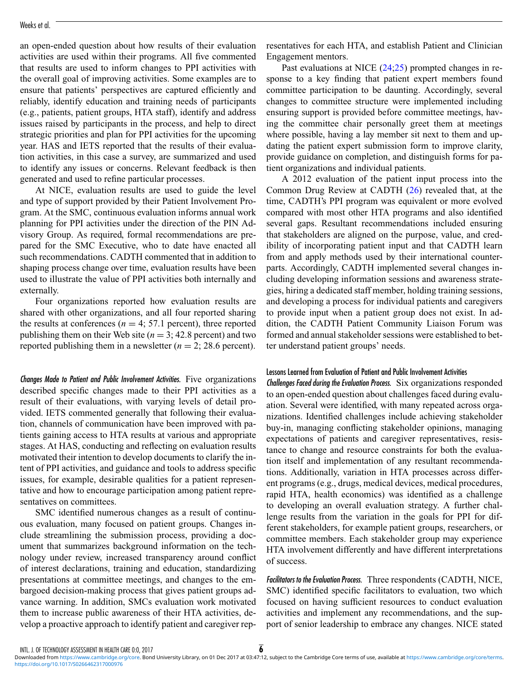an open-ended question about how results of their evaluation activities are used within their programs. All five commented that results are used to inform changes to PPI activities with the overall goal of improving activities. Some examples are to ensure that patients' perspectives are captured efficiently and reliably, identify education and training needs of participants (e.g., patients, patient groups, HTA staff), identify and address issues raised by participants in the process, and help to direct strategic priorities and plan for PPI activities for the upcoming year. HAS and IETS reported that the results of their evaluation activities, in this case a survey, are summarized and used to identify any issues or concerns. Relevant feedback is then generated and used to refine particular processes.

At NICE, evaluation results are used to guide the level and type of support provided by their Patient Involvement Program. At the SMC, continuous evaluation informs annual work planning for PPI activities under the direction of the PIN Advisory Group. As required, formal recommendations are prepared for the SMC Executive, who to date have enacted all such recommendations. CADTH commented that in addition to shaping process change over time, evaluation results have been used to illustrate the value of PPI activities both internally and externally.

Four organizations reported how evaluation results are shared with other organizations, and all four reported sharing the results at conferences  $(n = 4; 57.1$  percent), three reported publishing them on their Web site  $(n = 3, 42.8$  percent) and two reported publishing them in a newsletter  $(n = 2, 28.6$  percent).

*Changes Made to Patient and Public Involvement Activities.* Five organizations described specific changes made to their PPI activities as a result of their evaluations, with varying levels of detail provided. IETS commented generally that following their evaluation, channels of communication have been improved with patients gaining access to HTA results at various and appropriate stages. At HAS, conducting and reflecting on evaluation results motivated their intention to develop documents to clarify the intent of PPI activities, and guidance and tools to address specific issues, for example, desirable qualities for a patient representative and how to encourage participation among patient representatives on committees.

SMC identified numerous changes as a result of continuous evaluation, many focused on patient groups. Changes include streamlining the submission process, providing a document that summarizes background information on the technology under review, increased transparency around conflict of interest declarations, training and education, standardizing presentations at committee meetings, and changes to the embargoed decision-making process that gives patient groups advance warning. In addition, SMCs evaluation work motivated them to increase public awareness of their HTA activities, develop a proactive approach to identify patient and caregiver representatives for each HTA, and establish Patient and Clinician Engagement mentors.

Past evaluations at NICE [\(24;25\)](#page-9-0) prompted changes in response to a key finding that patient expert members found committee participation to be daunting. Accordingly, several changes to committee structure were implemented including ensuring support is provided before committee meetings, having the committee chair personally greet them at meetings where possible, having a lay member sit next to them and updating the patient expert submission form to improve clarity, provide guidance on completion, and distinguish forms for patient organizations and individual patients.

A 2012 evaluation of the patient input process into the Common Drug Review at CADTH [\(26\)](#page-9-0) revealed that, at the time, CADTH's PPI program was equivalent or more evolved compared with most other HTA programs and also identified several gaps. Resultant recommendations included ensuring that stakeholders are aligned on the purpose, value, and credibility of incorporating patient input and that CADTH learn from and apply methods used by their international counterparts. Accordingly, CADTH implemented several changes including developing information sessions and awareness strategies, hiring a dedicated staff member, holding training sessions, and developing a process for individual patients and caregivers to provide input when a patient group does not exist. In addition, the CADTH Patient Community Liaison Forum was formed and annual stakeholder sessions were established to better understand patient groups' needs.

#### Lessons Learned from Evaluation of Patient and Public Involvement Activities

*Challenges Faced during the Evaluation Process.* Six organizations responded to an open-ended question about challenges faced during evaluation. Several were identified, with many repeated across organizations. Identified challenges include achieving stakeholder buy-in, managing conflicting stakeholder opinions, managing expectations of patients and caregiver representatives, resistance to change and resource constraints for both the evaluation itself and implementation of any resultant recommendations. Additionally, variation in HTA processes across different programs (e.g., drugs, medical devices, medical procedures, rapid HTA, health economics) was identified as a challenge to developing an overall evaluation strategy. A further challenge results from the variation in the goals for PPI for different stakeholders, for example patient groups, researchers, or committee members. Each stakeholder group may experience HTA involvement differently and have different interpretations of success.

*Facilitators to the Evaluation Process.* Three respondents (CADTH, NICE, SMC) identified specific facilitators to evaluation, two which focused on having sufficient resources to conduct evaluation activities and implement any recommendations, and the support of senior leadership to embrace any changes. NICE stated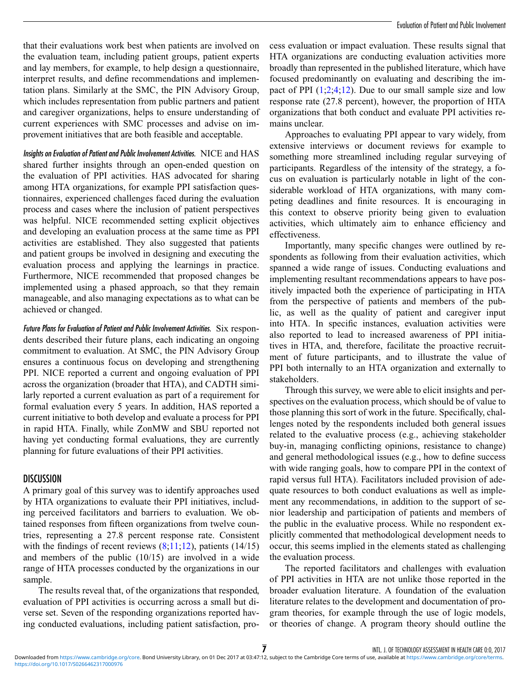that their evaluations work best when patients are involved on the evaluation team, including patient groups, patient experts and lay members, for example, to help design a questionnaire, interpret results, and define recommendations and implementation plans. Similarly at the SMC, the PIN Advisory Group, which includes representation from public partners and patient and caregiver organizations, helps to ensure understanding of current experiences with SMC processes and advise on improvement initiatives that are both feasible and acceptable.

*Insights on Evaluation of Patient and Public Involvement Activities.* NICE and HAS shared further insights through an open-ended question on the evaluation of PPI activities. HAS advocated for sharing among HTA organizations, for example PPI satisfaction questionnaires, experienced challenges faced during the evaluation process and cases where the inclusion of patient perspectives was helpful. NICE recommended setting explicit objectives and developing an evaluation process at the same time as PPI activities are established. They also suggested that patients and patient groups be involved in designing and executing the evaluation process and applying the learnings in practice. Furthermore, NICE recommended that proposed changes be implemented using a phased approach, so that they remain manageable, and also managing expectations as to what can be achieved or changed.

*Future Plans for Evaluation of Patient and Public Involvement Activities.* Six respondents described their future plans, each indicating an ongoing commitment to evaluation. At SMC, the PIN Advisory Group ensures a continuous focus on developing and strengthening PPI. NICE reported a current and ongoing evaluation of PPI across the organization (broader that HTA), and CADTH similarly reported a current evaluation as part of a requirement for formal evaluation every 5 years. In addition, HAS reported a current initiative to both develop and evaluate a process for PPI in rapid HTA. Finally, while ZonMW and SBU reported not having yet conducting formal evaluations, they are currently planning for future evaluations of their PPI activities.

#### **DISCUSSION**

A primary goal of this survey was to identify approaches used by HTA organizations to evaluate their PPI initiatives, including perceived facilitators and barriers to evaluation. We obtained responses from fifteen organizations from twelve countries, representing a 27.8 percent response rate. Consistent with the findings of recent reviews  $(8,11,12)$ , patients  $(14/15)$ and members of the public (10/15) are involved in a wide range of HTA processes conducted by the organizations in our sample.

The results reveal that, of the organizations that responded, evaluation of PPI activities is occurring across a small but diverse set. Seven of the responding organizations reported having conducted evaluations, including patient satisfaction, process evaluation or impact evaluation. These results signal that HTA organizations are conducting evaluation activities more broadly than represented in the published literature, which have focused predominantly on evaluating and describing the impact of PPI  $(1,2,4,12)$ . Due to our small sample size and low response rate (27.8 percent), however, the proportion of HTA organizations that both conduct and evaluate PPI activities remains unclear.

Approaches to evaluating PPI appear to vary widely, from extensive interviews or document reviews for example to something more streamlined including regular surveying of participants. Regardless of the intensity of the strategy, a focus on evaluation is particularly notable in light of the considerable workload of HTA organizations, with many competing deadlines and finite resources. It is encouraging in this context to observe priority being given to evaluation activities, which ultimately aim to enhance efficiency and effectiveness.

Importantly, many specific changes were outlined by respondents as following from their evaluation activities, which spanned a wide range of issues. Conducting evaluations and implementing resultant recommendations appears to have positively impacted both the experience of participating in HTA from the perspective of patients and members of the public, as well as the quality of patient and caregiver input into HTA. In specific instances, evaluation activities were also reported to lead to increased awareness of PPI initiatives in HTA, and, therefore, facilitate the proactive recruitment of future participants, and to illustrate the value of PPI both internally to an HTA organization and externally to stakeholders.

Through this survey, we were able to elicit insights and perspectives on the evaluation process, which should be of value to those planning this sort of work in the future. Specifically, challenges noted by the respondents included both general issues related to the evaluative process (e.g., achieving stakeholder buy-in, managing conflicting opinions, resistance to change) and general methodological issues (e.g., how to define success with wide ranging goals, how to compare PPI in the context of rapid versus full HTA). Facilitators included provision of adequate resources to both conduct evaluations as well as implement any recommendations, in addition to the support of senior leadership and participation of patients and members of the public in the evaluative process. While no respondent explicitly commented that methodological development needs to occur, this seems implied in the elements stated as challenging the evaluation process.

The reported facilitators and challenges with evaluation of PPI activities in HTA are not unlike those reported in the broader evaluation literature. A foundation of the evaluation literature relates to the development and documentation of program theories, for example through the use of logic models, or theories of change. A program theory should outline the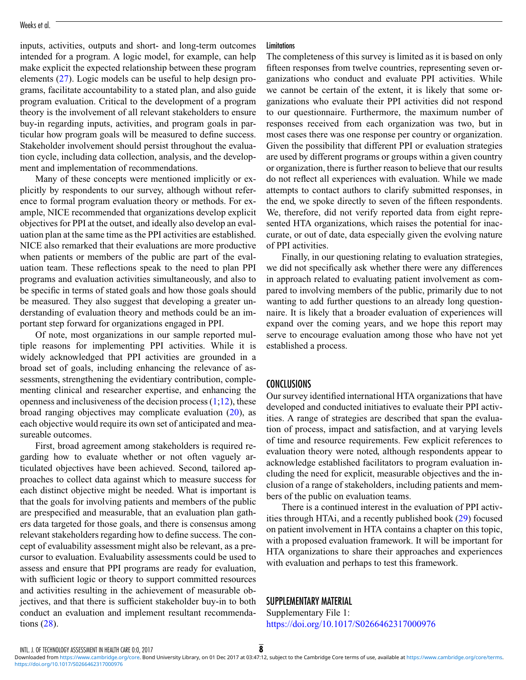inputs, activities, outputs and short- and long-term outcomes intended for a program. A logic model, for example, can help make explicit the expected relationship between these program elements [\(27\)](#page-9-0). Logic models can be useful to help design programs, facilitate accountability to a stated plan, and also guide program evaluation. Critical to the development of a program theory is the involvement of all relevant stakeholders to ensure buy-in regarding inputs, activities, and program goals in particular how program goals will be measured to define success. Stakeholder involvement should persist throughout the evaluation cycle, including data collection, analysis, and the development and implementation of recommendations.

Many of these concepts were mentioned implicitly or explicitly by respondents to our survey, although without reference to formal program evaluation theory or methods. For example, NICE recommended that organizations develop explicit objectives for PPI at the outset, and ideally also develop an evaluation plan at the same time as the PPI activities are established. NICE also remarked that their evaluations are more productive when patients or members of the public are part of the evaluation team. These reflections speak to the need to plan PPI programs and evaluation activities simultaneously, and also to be specific in terms of stated goals and how those goals should be measured. They also suggest that developing a greater understanding of evaluation theory and methods could be an important step forward for organizations engaged in PPI.

Of note, most organizations in our sample reported multiple reasons for implementing PPI activities. While it is widely acknowledged that PPI activities are grounded in a broad set of goals, including enhancing the relevance of assessments, strengthening the evidentiary contribution, complementing clinical and researcher expertise, and enhancing the openness and inclusiveness of the decision process  $(1;12)$ , these broad ranging objectives may complicate evaluation [\(20\)](#page-9-0), as each objective would require its own set of anticipated and measureable outcomes.

First, broad agreement among stakeholders is required regarding how to evaluate whether or not often vaguely articulated objectives have been achieved. Second, tailored approaches to collect data against which to measure success for each distinct objective might be needed. What is important is that the goals for involving patients and members of the public are prespecified and measurable, that an evaluation plan gathers data targeted for those goals, and there is consensus among relevant stakeholders regarding how to define success. The concept of evaluability assessment might also be relevant, as a precursor to evaluation. Evaluability assessments could be used to assess and ensure that PPI programs are ready for evaluation, with sufficient logic or theory to support committed resources and activities resulting in the achievement of measurable objectives, and that there is sufficient stakeholder buy-in to both conduct an evaluation and implement resultant recommendations [\(28\)](#page-9-0).

#### Limitations

The completeness of this survey is limited as it is based on only fifteen responses from twelve countries, representing seven organizations who conduct and evaluate PPI activities. While we cannot be certain of the extent, it is likely that some organizations who evaluate their PPI activities did not respond to our questionnaire. Furthermore, the maximum number of responses received from each organization was two, but in most cases there was one response per country or organization. Given the possibility that different PPI or evaluation strategies are used by different programs or groups within a given country or organization, there is further reason to believe that our results do not reflect all experiences with evaluation. While we made attempts to contact authors to clarify submitted responses, in the end, we spoke directly to seven of the fifteen respondents. We, therefore, did not verify reported data from eight represented HTA organizations, which raises the potential for inaccurate, or out of date, data especially given the evolving nature of PPI activities.

Finally, in our questioning relating to evaluation strategies, we did not specifically ask whether there were any differences in approach related to evaluating patient involvement as compared to involving members of the public, primarily due to not wanting to add further questions to an already long questionnaire. It is likely that a broader evaluation of experiences will expand over the coming years, and we hope this report may serve to encourage evaluation among those who have not yet established a process.

### **CONCLUSIONS**

Our survey identified international HTA organizations that have developed and conducted initiatives to evaluate their PPI activities. A range of strategies are described that span the evaluation of process, impact and satisfaction, and at varying levels of time and resource requirements. Few explicit references to evaluation theory were noted, although respondents appear to acknowledge established facilitators to program evaluation including the need for explicit, measurable objectives and the inclusion of a range of stakeholders, including patients and members of the public on evaluation teams.

There is a continued interest in the evaluation of PPI activities through HTAi, and a recently published book [\(29\)](#page-9-0) focused on patient involvement in HTA contains a chapter on this topic, with a proposed evaluation framework. It will be important for HTA organizations to share their approaches and experiences with evaluation and perhaps to test this framework.

#### SUPPI FMFNTARY MATFRIAL

Supplementary File 1: <https://doi.org/10.1017/S0266462317000976>